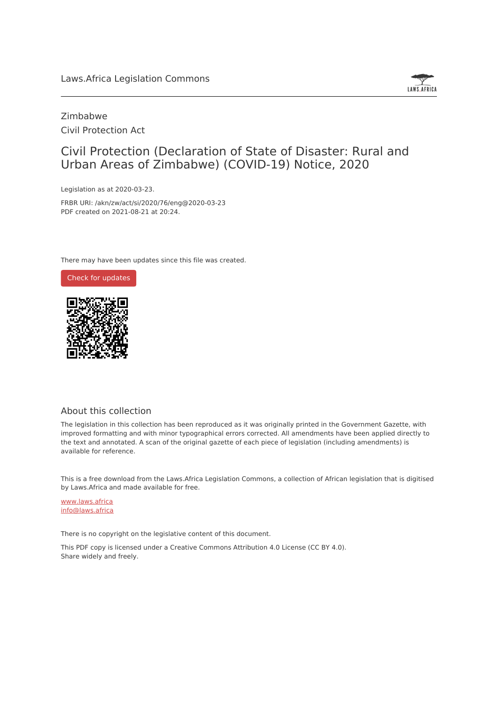

### Zimbabwe Civil Protection Act

## Civil Protection (Declaration of State of Disaster: Rural and Urban Areas of Zimbabwe) (COVID-19) Notice, 2020

Legislation as at 2020-03-23.

FRBR URI: /akn/zw/act/si/2020/76/eng@2020-03-23 PDF created on 2021-08-21 at 20:24.

There may have been updates since this file was created.



#### About this collection

The legislation in this collection has been reproduced as it was originally printed in the Government Gazette, with improved formatting and with minor typographical errors corrected. All amendments have been applied directly to the text and annotated. A scan of the original gazette of each piece of legislation (including amendments) is available for reference.

This is a free download from the Laws.Africa Legislation Commons, a collection of African legislation that is digitised by Laws.Africa and made available for free.

[www.laws.africa](https://www.laws.africa) [info@laws.africa](mailto:info@laws.africa)

There is no copyright on the legislative content of this document.

This PDF copy is licensed under a Creative Commons Attribution 4.0 License (CC BY 4.0). Share widely and freely.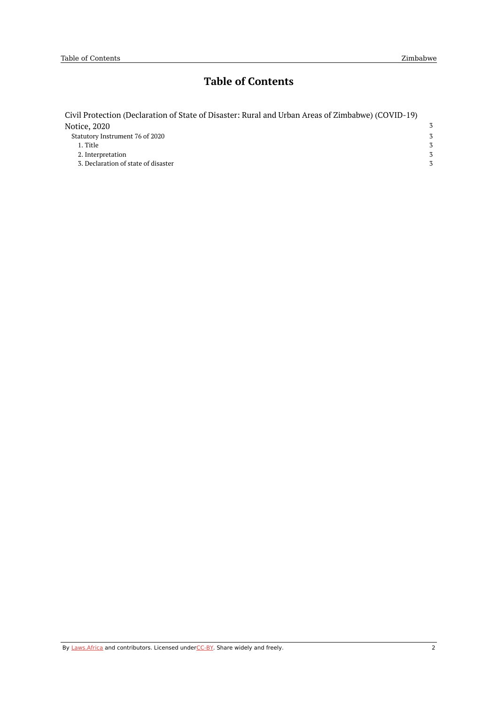# **Table of Contents**

| Civil Protection (Declaration of State of Disaster: Rural and Urban Areas of Zimbabwe) (COVID-19) |   |
|---------------------------------------------------------------------------------------------------|---|
| Notice, 2020                                                                                      | 3 |
| Statutory Instrument 76 of 2020                                                                   | 3 |
| 1. Title                                                                                          | 3 |
| 2. Interpretation                                                                                 | 3 |
| 3. Declaration of state of disaster                                                               |   |